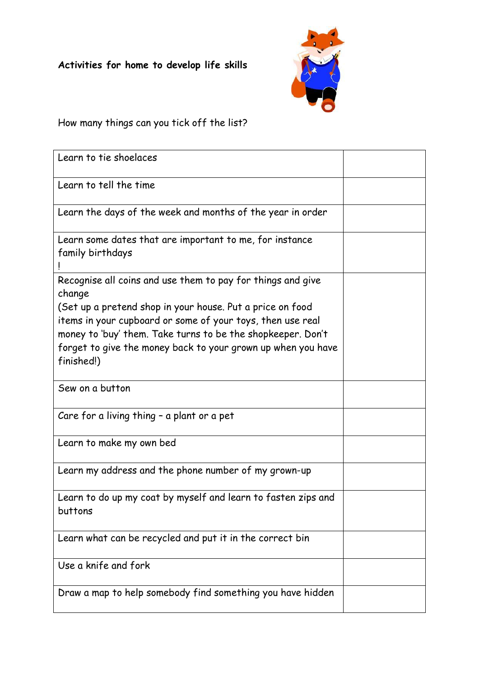

## How many things can you tick off the list?

| Learn to tie shoelaces                                                                                                                                                                                                                                                                                                                        |  |
|-----------------------------------------------------------------------------------------------------------------------------------------------------------------------------------------------------------------------------------------------------------------------------------------------------------------------------------------------|--|
| Learn to tell the time                                                                                                                                                                                                                                                                                                                        |  |
| Learn the days of the week and months of the year in order                                                                                                                                                                                                                                                                                    |  |
| Learn some dates that are important to me, for instance<br>family birthdays                                                                                                                                                                                                                                                                   |  |
| Recognise all coins and use them to pay for things and give<br>change<br>(Set up a pretend shop in your house. Put a price on food<br>items in your cupboard or some of your toys, then use real<br>money to 'buy' them. Take turns to be the shopkeeper. Don't<br>forget to give the money back to your grown up when you have<br>finished!) |  |
| Sew on a button                                                                                                                                                                                                                                                                                                                               |  |
| Care for a living thing - a plant or a pet                                                                                                                                                                                                                                                                                                    |  |
| Learn to make my own bed                                                                                                                                                                                                                                                                                                                      |  |
| Learn my address and the phone number of my grown-up                                                                                                                                                                                                                                                                                          |  |
| Learn to do up my coat by myself and learn to fasten zips and<br>buttons                                                                                                                                                                                                                                                                      |  |
| Learn what can be recycled and put it in the correct bin                                                                                                                                                                                                                                                                                      |  |
| Use a knife and fork                                                                                                                                                                                                                                                                                                                          |  |
| Draw a map to help somebody find something you have hidden                                                                                                                                                                                                                                                                                    |  |